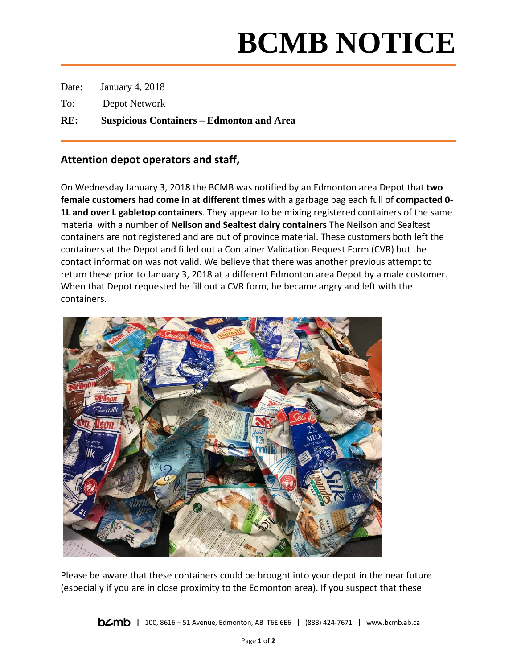## **BCMB NOTICE**

Date: January 4, 2018

To: Depot Network

**RE: Suspicious Containers – Edmonton and Area**

## **Attention depot operators and staff,**

On Wednesday January 3, 2018 the BCMB was notified by an Edmonton area Depot that **two female customers had come in at different times** with a garbage bag each full of **compacted 0- 1L and over L gabletop containers**. They appear to be mixing registered containers of the same material with a number of **Neilson and Sealtest dairy containers** The Neilson and Sealtest containers are not registered and are out of province material. These customers both left the containers at the Depot and filled out a Container Validation Request Form (CVR) but the contact information was not valid. We believe that there was another previous attempt to return these prior to January 3, 2018 at a different Edmonton area Depot by a male customer. When that Depot requested he fill out a CVR form, he became angry and left with the containers.



Please be aware that these containers could be brought into your depot in the near future (especially if you are in close proximity to the Edmonton area). If you suspect that these

**|** 100, 8616 – 51 Avenue, Edmonton, AB T6E 6E6 **|** (888) 424-7671 **|** www.bcmb.ab.ca